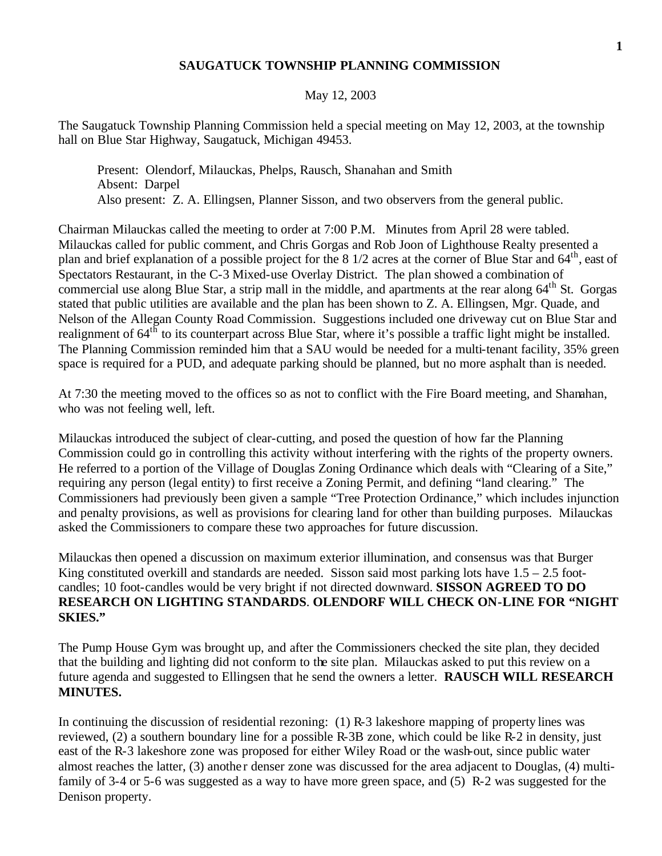## **SAUGATUCK TOWNSHIP PLANNING COMMISSION**

## May 12, 2003

The Saugatuck Township Planning Commission held a special meeting on May 12, 2003, at the township hall on Blue Star Highway, Saugatuck, Michigan 49453.

Present: Olendorf, Milauckas, Phelps, Rausch, Shanahan and Smith Absent: Darpel Also present: Z. A. Ellingsen, Planner Sisson, and two observers from the general public.

Chairman Milauckas called the meeting to order at 7:00 P.M. Minutes from April 28 were tabled. Milauckas called for public comment, and Chris Gorgas and Rob Joon of Lighthouse Realty presented a plan and brief explanation of a possible project for the  $8\frac{1}{2}$  acres at the corner of Blue Star and  $64^{\text{th}}$ , east of Spectators Restaurant, in the C-3 Mixed-use Overlay District. The plan showed a combination of commercial use along Blue Star, a strip mall in the middle, and apartments at the rear along  $64<sup>th</sup>$  St. Gorgas stated that public utilities are available and the plan has been shown to Z. A. Ellingsen, Mgr. Quade, and Nelson of the Allegan County Road Commission. Suggestions included one driveway cut on Blue Star and realignment of  $64<sup>th</sup>$  to its counterpart across Blue Star, where it's possible a traffic light might be installed. The Planning Commission reminded him that a SAU would be needed for a multi-tenant facility, 35% green space is required for a PUD, and adequate parking should be planned, but no more asphalt than is needed.

At 7:30 the meeting moved to the offices so as not to conflict with the Fire Board meeting, and Shanahan, who was not feeling well, left.

Milauckas introduced the subject of clear-cutting, and posed the question of how far the Planning Commission could go in controlling this activity without interfering with the rights of the property owners. He referred to a portion of the Village of Douglas Zoning Ordinance which deals with "Clearing of a Site," requiring any person (legal entity) to first receive a Zoning Permit, and defining "land clearing." The Commissioners had previously been given a sample "Tree Protection Ordinance," which includes injunction and penalty provisions, as well as provisions for clearing land for other than building purposes. Milauckas asked the Commissioners to compare these two approaches for future discussion.

Milauckas then opened a discussion on maximum exterior illumination, and consensus was that Burger King constituted overkill and standards are needed. Sisson said most parking lots have  $1.5 - 2.5$  footcandles; 10 foot-candles would be very bright if not directed downward. **SISSON AGREED TO DO RESEARCH ON LIGHTING STANDARDS**. **OLENDORF WILL CHECK ON-LINE FOR "NIGHT SKIES."** 

The Pump House Gym was brought up, and after the Commissioners checked the site plan, they decided that the building and lighting did not conform to the site plan. Milauckas asked to put this review on a future agenda and suggested to Ellingsen that he send the owners a letter. **RAUSCH WILL RESEARCH MINUTES.** 

In continuing the discussion of residential rezoning: (1) R-3 lakeshore mapping of property lines was reviewed, (2) a southern boundary line for a possible R-3B zone, which could be like R-2 in density, just east of the R-3 lakeshore zone was proposed for either Wiley Road or the wash-out, since public water almost reaches the latter, (3) another denser zone was discussed for the area adjacent to Douglas, (4) multifamily of 3-4 or 5-6 was suggested as a way to have more green space, and (5) R-2 was suggested for the Denison property.